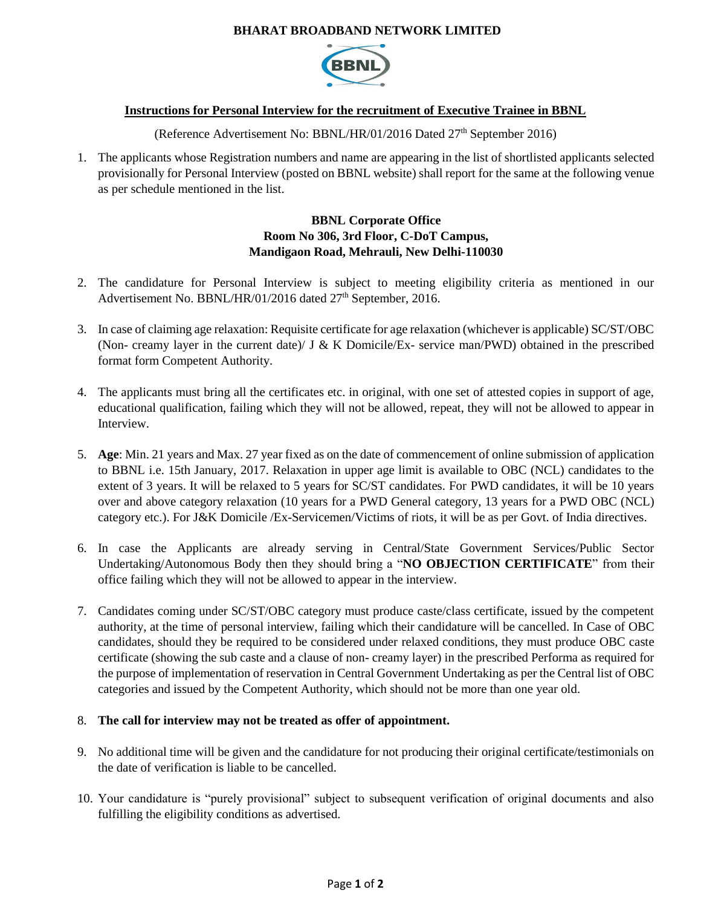#### **BHARAT BROADBAND NETWORK LIMITED**



# **Instructions for Personal Interview for the recruitment of Executive Trainee in BBNL**

(Reference Advertisement No: BBNL/HR/01/2016 Dated 27<sup>th</sup> September 2016)

1. The applicants whose Registration numbers and name are appearing in the list of shortlisted applicants selected provisionally for Personal Interview (posted on BBNL website) shall report for the same at the following venue as per schedule mentioned in the list.

## **BBNL Corporate Office Room No 306, 3rd Floor, C-DoT Campus, Mandigaon Road, Mehrauli, New Delhi-110030**

- 2. The candidature for Personal Interview is subject to meeting eligibility criteria as mentioned in our Advertisement No. BBNL/HR/01/2016 dated 27<sup>th</sup> September, 2016.
- 3. In case of claiming age relaxation: Requisite certificate for age relaxation (whichever is applicable) SC/ST/OBC (Non- creamy layer in the current date)/ J & K Domicile/Ex- service man/PWD) obtained in the prescribed format form Competent Authority.
- 4. The applicants must bring all the certificates etc. in original, with one set of attested copies in support of age, educational qualification, failing which they will not be allowed, repeat, they will not be allowed to appear in Interview.
- 5. **Age**: Min. 21 years and Max. 27 year fixed as on the date of commencement of online submission of application to BBNL i.e. 15th January, 2017. Relaxation in upper age limit is available to OBC (NCL) candidates to the extent of 3 years. It will be relaxed to 5 years for SC/ST candidates. For PWD candidates, it will be 10 years over and above category relaxation (10 years for a PWD General category, 13 years for a PWD OBC (NCL) category etc.). For J&K Domicile /Ex-Servicemen/Victims of riots, it will be as per Govt. of India directives.
- 6. In case the Applicants are already serving in Central/State Government Services/Public Sector Undertaking/Autonomous Body then they should bring a "**NO OBJECTION CERTIFICATE**" from their office failing which they will not be allowed to appear in the interview.
- 7. Candidates coming under SC/ST/OBC category must produce caste/class certificate, issued by the competent authority, at the time of personal interview, failing which their candidature will be cancelled. In Case of OBC candidates, should they be required to be considered under relaxed conditions, they must produce OBC caste certificate (showing the sub caste and a clause of non- creamy layer) in the prescribed Performa as required for the purpose of implementation of reservation in Central Government Undertaking as per the Central list of OBC categories and issued by the Competent Authority, which should not be more than one year old.

#### 8. **The call for interview may not be treated as offer of appointment.**

- 9. No additional time will be given and the candidature for not producing their original certificate/testimonials on the date of verification is liable to be cancelled.
- 10. Your candidature is "purely provisional" subject to subsequent verification of original documents and also fulfilling the eligibility conditions as advertised.